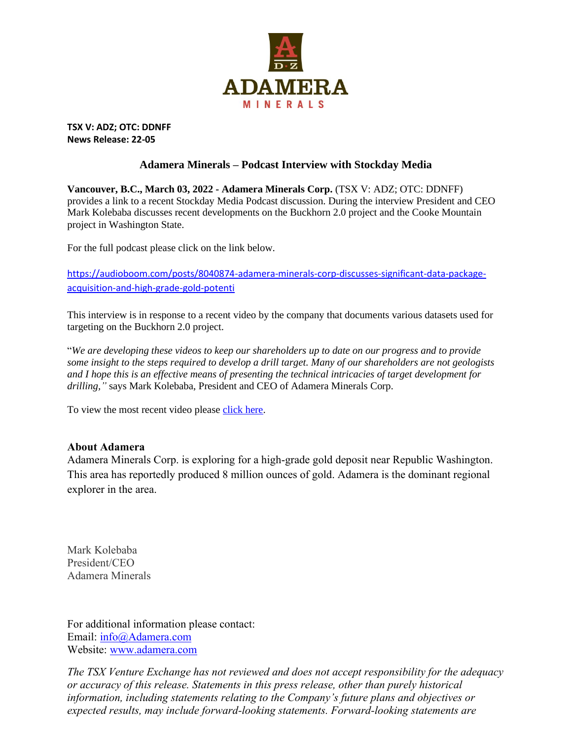

**TSX V: ADZ; OTC: DDNFF News Release: 22-05**

## **Adamera Minerals – Podcast Interview with Stockday Media**

**Vancouver, B.C., March 03, 2022 - Adamera Minerals Corp.** (TSX V: ADZ; OTC: DDNFF) provides a link to a recent Stockday Media Podcast discussion. During the interview President and CEO Mark Kolebaba discusses recent developments on the Buckhorn 2.0 project and the Cooke Mountain project in Washington State.

For the full podcast please click on the link below.

[https://audioboom.com/posts/8040874-adamera-minerals-corp-discusses-significant-data-package](https://audioboom.com/posts/8040874-adamera-minerals-corp-discusses-significant-data-package-acquisition-and-high-grade-gold-potenti)[acquisition-and-high-grade-gold-potenti](https://audioboom.com/posts/8040874-adamera-minerals-corp-discusses-significant-data-package-acquisition-and-high-grade-gold-potenti)

This interview is in response to a recent video by the company that documents various datasets used for targeting on the Buckhorn 2.0 project.

"*We are developing these videos to keep our shareholders up to date on our progress and to provide some insight to the steps required to develop a drill target. Many of our shareholders are not geologists and I hope this is an effective means of presenting the technical intricacies of target development for drilling,"* says Mark Kolebaba, President and CEO of Adamera Minerals Corp.

To view the most recent video please [click here.](https://youtu.be/PBh0_oJGmLk)

## **About Adamera**

Adamera Minerals Corp. is exploring for a high-grade gold deposit near Republic Washington. This area has reportedly produced 8 million ounces of gold. Adamera is the dominant regional explorer in the area.

Mark Kolebaba President/CEO Adamera Minerals

For additional information please contact: Email: [info@Adamera.com](mailto:info@adamera.com) Website: [www.adamera.com](http://www.adamera.com/)

*The TSX Venture Exchange has not reviewed and does not accept responsibility for the adequacy or accuracy of this release. Statements in this press release, other than purely historical information, including statements relating to the Company's future plans and objectives or expected results, may include forward-looking statements. Forward-looking statements are*